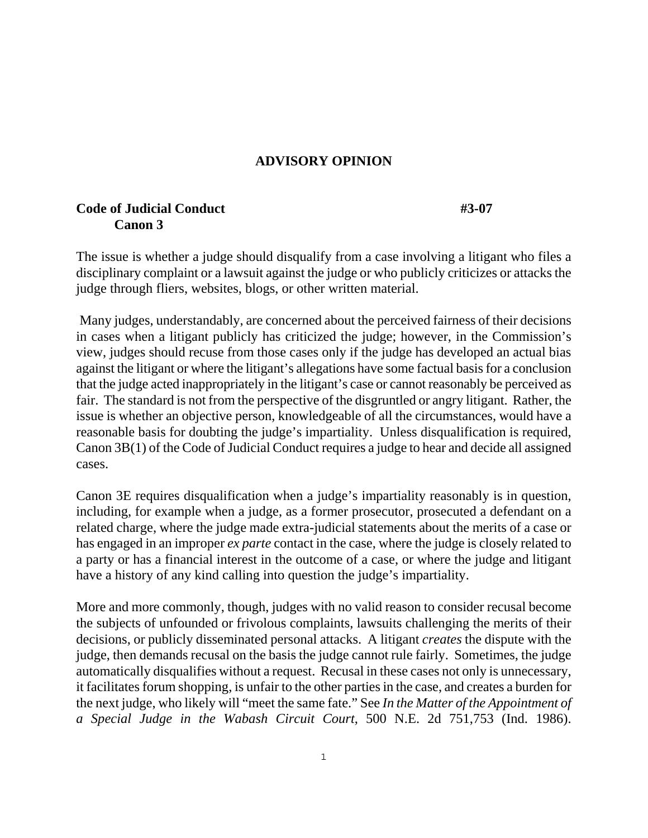## **ADVISORY OPINION**

## **Code of Judicial Conduct #3-07 #3-07 Canon 3**

The issue is whether a judge should disqualify from a case involving a litigant who files a disciplinary complaint or a lawsuit against the judge or who publicly criticizes or attacks the judge through fliers, websites, blogs, or other written material.

 Many judges, understandably, are concerned about the perceived fairness of their decisions in cases when a litigant publicly has criticized the judge; however, in the Commission's view, judges should recuse from those cases only if the judge has developed an actual bias against the litigant or where the litigant's allegations have some factual basis for a conclusion that the judge acted inappropriately in the litigant's case or cannot reasonably be perceived as fair. The standard is not from the perspective of the disgruntled or angry litigant. Rather, the issue is whether an objective person, knowledgeable of all the circumstances, would have a reasonable basis for doubting the judge's impartiality. Unless disqualification is required, Canon 3B(1) of the Code of Judicial Conduct requires a judge to hear and decide all assigned cases.

Canon 3E requires disqualification when a judge's impartiality reasonably is in question, including, for example when a judge, as a former prosecutor, prosecuted a defendant on a related charge, where the judge made extra-judicial statements about the merits of a case or has engaged in an improper *ex parte* contact in the case, where the judge is closely related to a party or has a financial interest in the outcome of a case, or where the judge and litigant have a history of any kind calling into question the judge's impartiality.

More and more commonly, though, judges with no valid reason to consider recusal become the subjects of unfounded or frivolous complaints, lawsuits challenging the merits of their decisions, or publicly disseminated personal attacks. A litigant *creates* the dispute with the judge, then demands recusal on the basis the judge cannot rule fairly. Sometimes, the judge automatically disqualifies without a request. Recusal in these cases not only is unnecessary, it facilitates forum shopping, is unfair to the other parties in the case, and creates a burden for the next judge, who likely will "meet the same fate." See *In the Matter of the Appointment of a Special Judge in the Wabash Circuit Court*, 500 N.E. 2d 751,753 (Ind. 1986).